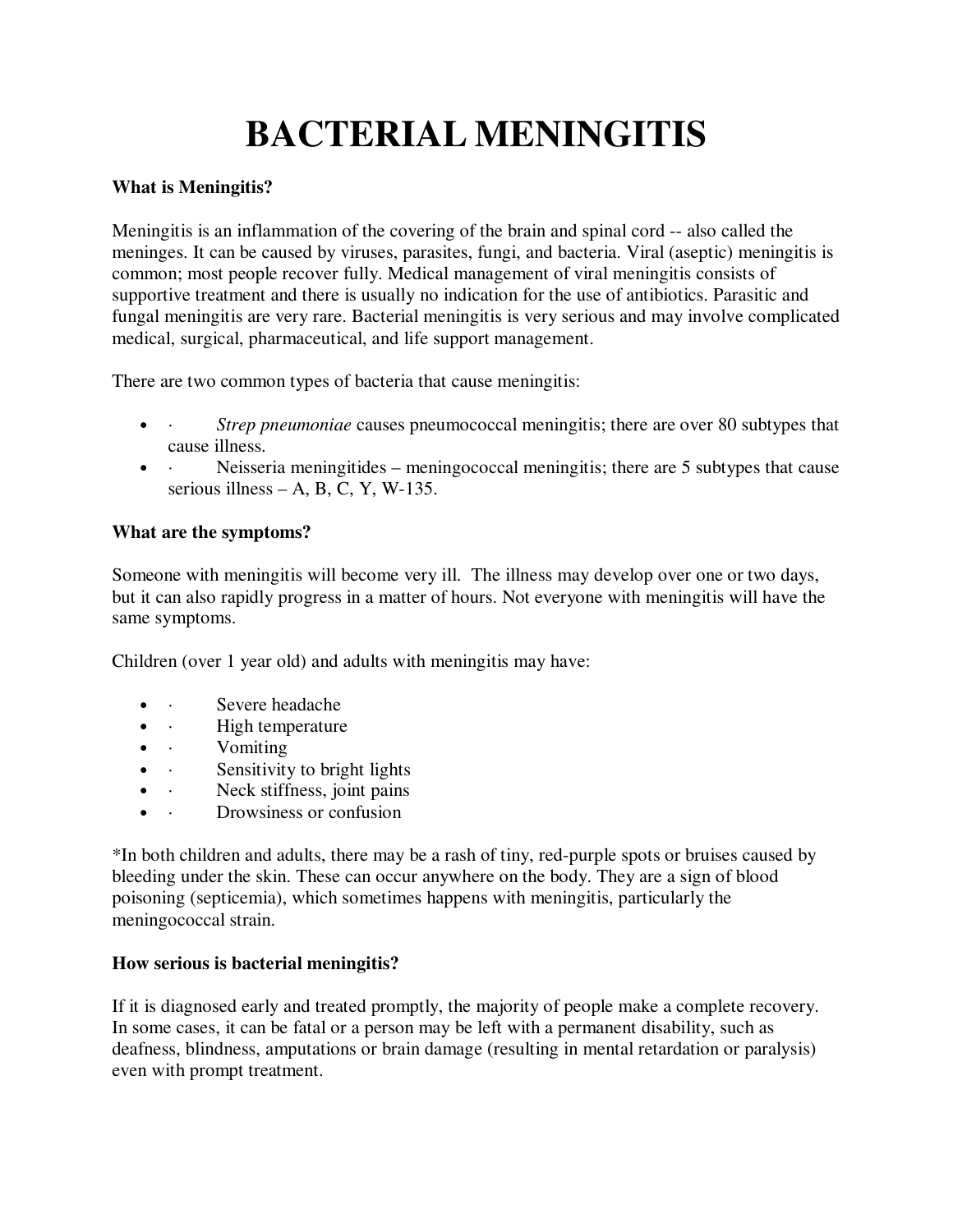# **BACTERIAL MENINGITIS**

## **What is Meningitis?**

Meningitis is an inflammation of the covering of the brain and spinal cord -- also called the meninges. It can be caused by viruses, parasites, fungi, and bacteria. Viral (aseptic) meningitis is common; most people recover fully. Medical management of viral meningitis consists of supportive treatment and there is usually no indication for the use of antibiotics. Parasitic and fungal meningitis are very rare. Bacterial meningitis is very serious and may involve complicated medical, surgical, pharmaceutical, and life support management.

There are two common types of bacteria that cause meningitis:

- *Strep pneumoniae* causes pneumococcal meningitis; there are over 80 subtypes that cause illness.
- Neisseria meningitides meningococcal meningitis; there are 5 subtypes that cause serious illness – A, B, C, Y, W-135.

## **What are the symptoms?**

Someone with meningitis will become very ill. The illness may develop over one or two days, but it can also rapidly progress in a matter of hours. Not everyone with meningitis will have the same symptoms.

Children (over 1 year old) and adults with meningitis may have:

- · Severe headache
- · *High temperature*
- · **Vomiting**
- · Sensitivity to bright lights
- · Neck stiffness, joint pains
- · Drowsiness or confusion

\*In both children and adults, there may be a rash of tiny, red-purple spots or bruises caused by bleeding under the skin. These can occur anywhere on the body. They are a sign of blood poisoning (septicemia), which sometimes happens with meningitis, particularly the meningococcal strain.

## **How serious is bacterial meningitis?**

If it is diagnosed early and treated promptly, the majority of people make a complete recovery. In some cases, it can be fatal or a person may be left with a permanent disability, such as deafness, blindness, amputations or brain damage (resulting in mental retardation or paralysis) even with prompt treatment.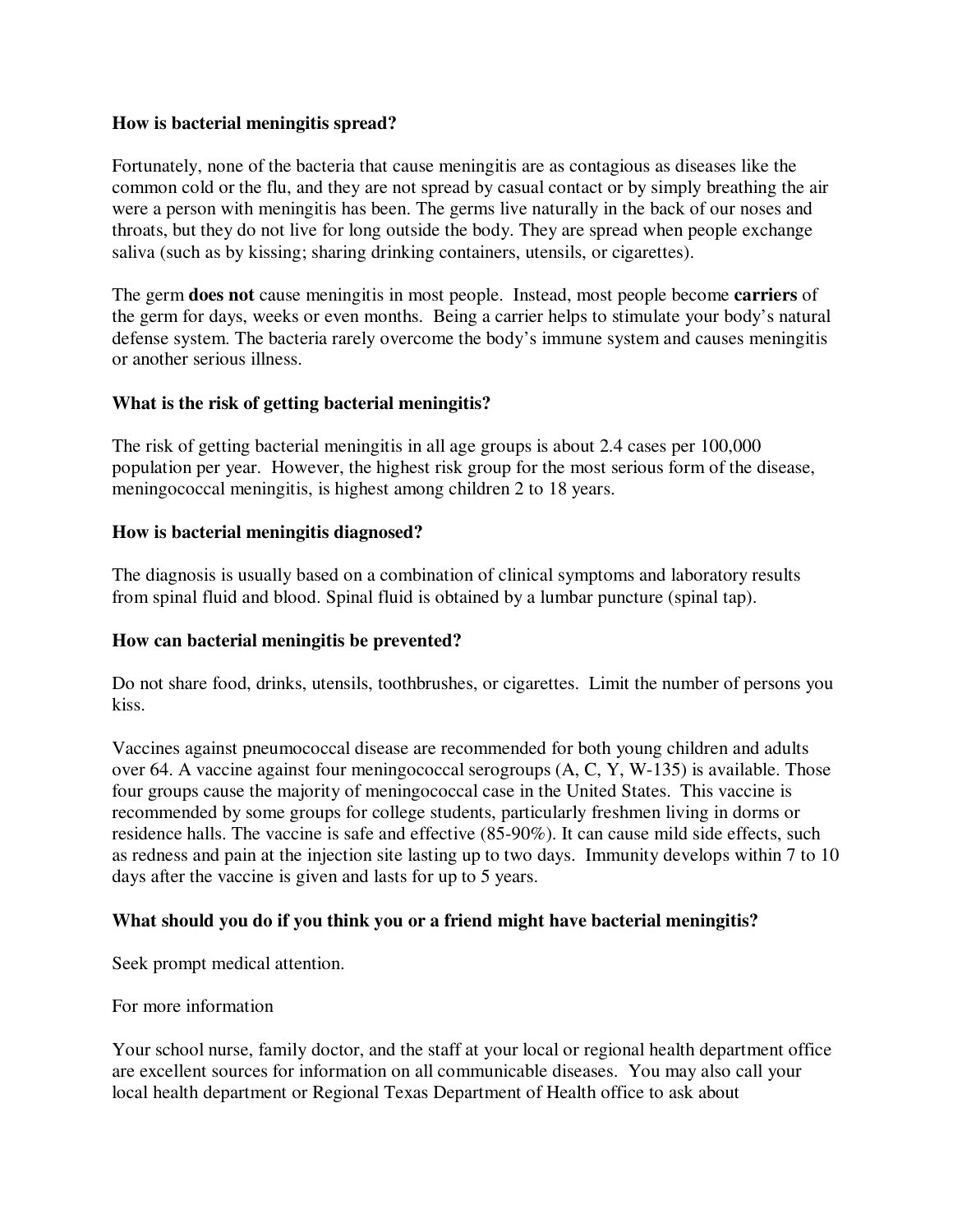#### **How is bacterial meningitis spread?**

Fortunately, none of the bacteria that cause meningitis are as contagious as diseases like the common cold or the flu, and they are not spread by casual contact or by simply breathing the air were a person with meningitis has been. The germs live naturally in the back of our noses and throats, but they do not live for long outside the body. They are spread when people exchange saliva (such as by kissing; sharing drinking containers, utensils, or cigarettes).

The germ **does not** cause meningitis in most people. Instead, most people become **carriers** of the germ for days, weeks or even months. Being a carrier helps to stimulate your body's natural defense system. The bacteria rarely overcome the body's immune system and causes meningitis or another serious illness.

#### **What is the risk of getting bacterial meningitis?**

The risk of getting bacterial meningitis in all age groups is about 2.4 cases per 100,000 population per year. However, the highest risk group for the most serious form of the disease, meningococcal meningitis, is highest among children 2 to 18 years.

#### **How is bacterial meningitis diagnosed?**

The diagnosis is usually based on a combination of clinical symptoms and laboratory results from spinal fluid and blood. Spinal fluid is obtained by a lumbar puncture (spinal tap).

#### **How can bacterial meningitis be prevented?**

Do not share food, drinks, utensils, toothbrushes, or cigarettes. Limit the number of persons you kiss.

Vaccines against pneumococcal disease are recommended for both young children and adults over 64. A vaccine against four meningococcal serogroups (A, C, Y, W-135) is available. Those four groups cause the majority of meningococcal case in the United States. This vaccine is recommended by some groups for college students, particularly freshmen living in dorms or residence halls. The vaccine is safe and effective (85-90%). It can cause mild side effects, such as redness and pain at the injection site lasting up to two days. Immunity develops within 7 to 10 days after the vaccine is given and lasts for up to 5 years.

## **What should you do if you think you or a friend might have bacterial meningitis?**

Seek prompt medical attention.

For more information

Your school nurse, family doctor, and the staff at your local or regional health department office are excellent sources for information on all communicable diseases. You may also call your local health department or Regional Texas Department of Health office to ask about